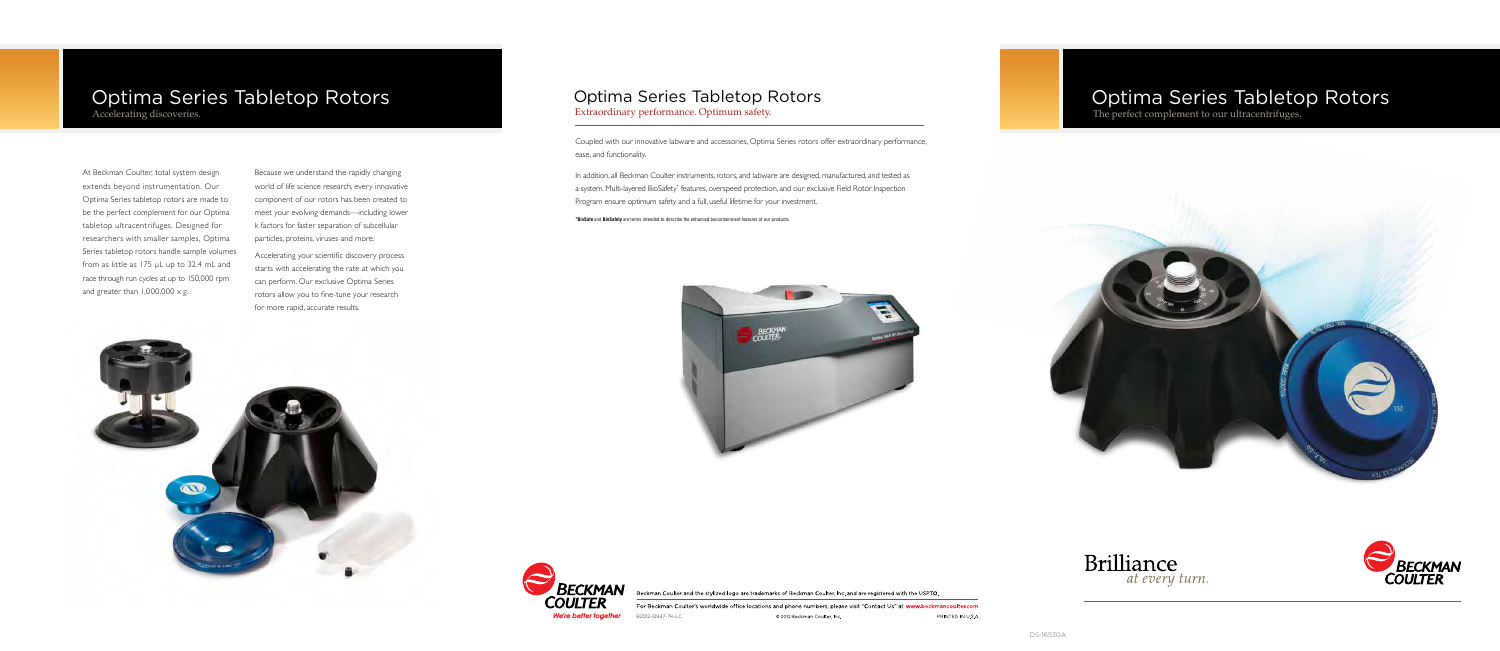Because we understand the rapidly changing world of life science research, every innovative component of our rotors has been created to meet your evolving demands—including lower k factors for faster separation of subcellular particles, proteins, viruses and more.

In addition, all Beckman Coulter instruments, rotors, and labware are designed, manufactured, and tested as a system. Multi-layered BioSafety\* features, overspeed protection, and our exclusive Field Rotor Inspection Program ensure optimum safety and a full, useful lifetime for your investment.

Accelerating your scientific discovery process starts with accelerating the rate at which you can perform. Our exclusive Optima Series rotors allow you to fine-tune your research for more rapid, accurate results.

We're better together

.<br>Beckman Coulter and the stylized logo are trademarks of Beckman Coulter, Inc. and are registered with the USPTO.

# Optima Series Tabletop Rotors

The perfect complement to our ultracentrifuges.







For Beckman Coulter's worldwide office locations and phone numbers, please visit "Contact Us" at www.beckmancoulter.com PRINTED IN U.S.A. © 2012 Beckman Coulter, Inc.

Coupled with our innovative labware and accessories, Optima Series rotors offer extraordinary performance, ease, and functionality.

\***BioSafe** and **BioSafety** are terms intended to describe the enhanced biocontainment features of our products.



## Optima Series Tabletop Rotors Extraordinary performance. Optimum safety.

## Optima Series Tabletop Rotors Accelerating discoveries.

At Beckman Coulter, total system design extends beyond instrumentation. Our Optima Series tabletop rotors are made to be the perfect complement for our Optima tabletop ultracentrifuges. Designed for researchers with smaller samples, Optima Series tabletop rotors handle sample volumes from as little as 175 μL up to 32.4 mL and race through run cycles at up to 150,000 rpm and greater than  $1,000,000 \times g$ .

B2012-12947-7K-LC